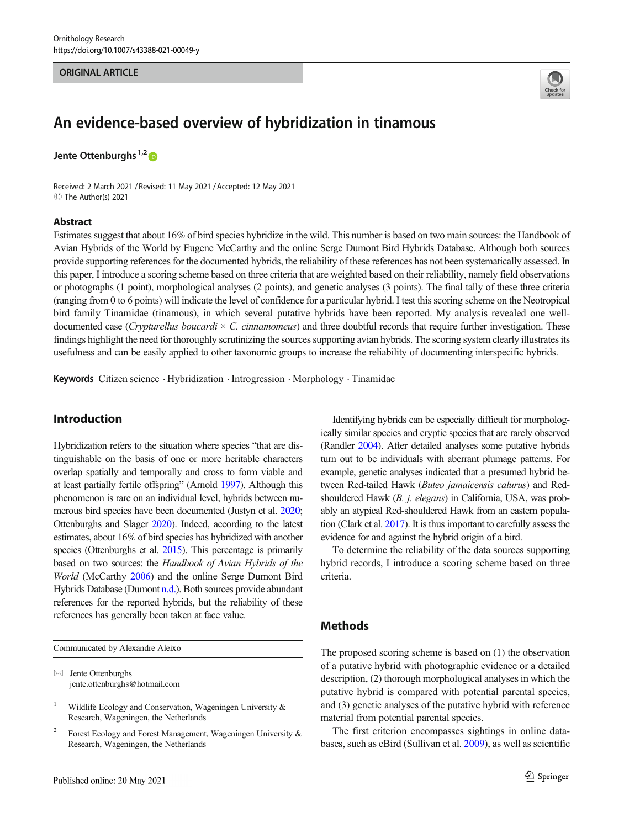#### **ORIGINAL ARTICLE** ORIGINAL ARTICLE



# An evidence-based overview of hybridization in tinamous

Jente Ottenburghs<sup>1,2</sup><sup>0</sup>

Received: 2 March 2021 / Revised: 11 May 2021 / Accepted: 12 May 2021  $\circledcirc$  The Author(s) 2021

# Abstract

Estimates suggest that about 16% of bird species hybridize in the wild. This number is based on two main sources: the Handbook of Avian Hybrids of the World by Eugene McCarthy and the online Serge Dumont Bird Hybrids Database. Although both sources provide supporting references for the documented hybrids, the reliability of these references has not been systematically assessed. In this paper, I introduce a scoring scheme based on three criteria that are weighted based on their reliability, namely field observations or photographs (1 point), morphological analyses (2 points), and genetic analyses (3 points). The final tally of these three criteria (ranging from 0 to 6 points) will indicate the level of confidence for a particular hybrid. I test this scoring scheme on the Neotropical bird family Tinamidae (tinamous), in which several putative hybrids have been reported. My analysis revealed one welldocumented case (Crypturellus boucardi  $\times$  C. cinnamomeus) and three doubtful records that require further investigation. These findings highlight the need for thoroughly scrutinizing the sources supporting avian hybrids. The scoring system clearly illustrates its usefulness and can be easily applied to other taxonomic groups to increase the reliability of documenting interspecific hybrids.

Keywords Citizen science . Hybridization . Introgression . Morphology . Tinamidae

# Introduction

Hybridization refers to the situation where species "that are distinguishable on the basis of one or more heritable characters overlap spatially and temporally and cross to form viable and at least partially fertile offspring" (Arnold [1997](#page-3-0)). Although this phenomenon is rare on an individual level, hybrids between numerous bird species have been documented (Justyn et al. [2020](#page-4-0); Ottenburghs and Slager [2020\)](#page-4-0). Indeed, according to the latest estimates, about 16% of bird species has hybridized with another species (Ottenburghs et al. [2015\)](#page-4-0). This percentage is primarily based on two sources: the Handbook of Avian Hybrids of the World (McCarthy [2006\)](#page-4-0) and the online Serge Dumont Bird Hybrids Database (Dumont [n.d.\)](#page-4-0). Both sources provide abundant references for the reported hybrids, but the reliability of these references has generally been taken at face value.

Communicated by Alexandre Aleixo

 $\boxtimes$  Jente Ottenburghs [jente.ottenburghs@hotmail.com](mailto:jente.ottenburghs@hotmail.com)

<sup>2</sup> Forest Ecology and Forest Management, Wageningen University  $\&$ Research, Wageningen, the Netherlands

Identifying hybrids can be especially difficult for morphologically similar species and cryptic species that are rarely observed (Randler [2004\)](#page-4-0). After detailed analyses some putative hybrids turn out to be individuals with aberrant plumage patterns. For example, genetic analyses indicated that a presumed hybrid between Red-tailed Hawk (Buteo jamaicensis calurus) and Redshouldered Hawk (B. j. elegans) in California, USA, was probably an atypical Red-shouldered Hawk from an eastern population (Clark et al. [2017](#page-4-0)). It is thus important to carefully assess the evidence for and against the hybrid origin of a bird.

To determine the reliability of the data sources supporting hybrid records, I introduce a scoring scheme based on three criteria.

# **Methods**

The proposed scoring scheme is based on (1) the observation of a putative hybrid with photographic evidence or a detailed description, (2) thorough morphological analyses in which the putative hybrid is compared with potential parental species, and (3) genetic analyses of the putative hybrid with reference material from potential parental species.

The first criterion encompasses sightings in online databases, such as eBird (Sullivan et al. [2009\)](#page-4-0), as well as scientific

Wildlife Ecology and Conservation, Wageningen University & Research, Wageningen, the Netherlands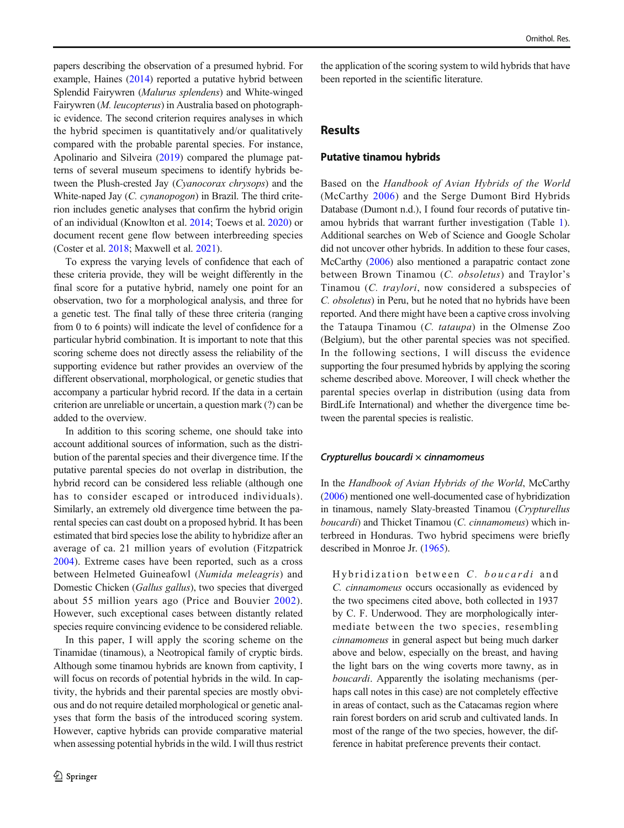papers describing the observation of a presumed hybrid. For example, Haines [\(2014\)](#page-4-0) reported a putative hybrid between Splendid Fairywren (Malurus splendens) and White-winged Fairywren (M. leucopterus) in Australia based on photographic evidence. The second criterion requires analyses in which the hybrid specimen is quantitatively and/or qualitatively compared with the probable parental species. For instance, Apolinario and Silveira [\(2019\)](#page-3-0) compared the plumage patterns of several museum specimens to identify hybrids between the Plush-crested Jay (Cyanocorax chrysops) and the White-naped Jay (C. cynanopogon) in Brazil. The third criterion includes genetic analyses that confirm the hybrid origin of an individual (Knowlton et al. [2014;](#page-4-0) Toews et al. [2020](#page-4-0)) or document recent gene flow between interbreeding species (Coster et al. [2018](#page-4-0); Maxwell et al. [2021\)](#page-4-0).

To express the varying levels of confidence that each of these criteria provide, they will be weight differently in the final score for a putative hybrid, namely one point for an observation, two for a morphological analysis, and three for a genetic test. The final tally of these three criteria (ranging from 0 to 6 points) will indicate the level of confidence for a particular hybrid combination. It is important to note that this scoring scheme does not directly assess the reliability of the supporting evidence but rather provides an overview of the different observational, morphological, or genetic studies that accompany a particular hybrid record. If the data in a certain criterion are unreliable or uncertain, a question mark (?) can be added to the overview.

In addition to this scoring scheme, one should take into account additional sources of information, such as the distribution of the parental species and their divergence time. If the putative parental species do not overlap in distribution, the hybrid record can be considered less reliable (although one has to consider escaped or introduced individuals). Similarly, an extremely old divergence time between the parental species can cast doubt on a proposed hybrid. It has been estimated that bird species lose the ability to hybridize after an average of ca. 21 million years of evolution (Fitzpatrick [2004](#page-4-0)). Extreme cases have been reported, such as a cross between Helmeted Guineafowl (Numida meleagris) and Domestic Chicken (Gallus gallus), two species that diverged about 55 million years ago (Price and Bouvier [2002](#page-4-0)). However, such exceptional cases between distantly related species require convincing evidence to be considered reliable.

In this paper, I will apply the scoring scheme on the Tinamidae (tinamous), a Neotropical family of cryptic birds. Although some tinamou hybrids are known from captivity, I will focus on records of potential hybrids in the wild. In captivity, the hybrids and their parental species are mostly obvious and do not require detailed morphological or genetic analyses that form the basis of the introduced scoring system. However, captive hybrids can provide comparative material when assessing potential hybrids in the wild. I will thus restrict

the application of the scoring system to wild hybrids that have been reported in the scientific literature.

# Results

### Putative tinamou hybrids

Based on the Handbook of Avian Hybrids of the World (McCarthy [2006](#page-4-0)) and the Serge Dumont Bird Hybrids Database (Dumont n.d.), I found four records of putative tinamou hybrids that warrant further investigation (Table [1\)](#page-2-0). Additional searches on Web of Science and Google Scholar did not uncover other hybrids. In addition to these four cases, McCarthy ([2006](#page-4-0)) also mentioned a parapatric contact zone between Brown Tinamou (C. obsoletus) and Traylor's Tinamou (C. traylori, now considered a subspecies of C. obsoletus) in Peru, but he noted that no hybrids have been reported. And there might have been a captive cross involving the Tataupa Tinamou (C. tataupa) in the Olmense Zoo (Belgium), but the other parental species was not specified. In the following sections, I will discuss the evidence supporting the four presumed hybrids by applying the scoring scheme described above. Moreover, I will check whether the parental species overlap in distribution (using data from BirdLife International) and whether the divergence time between the parental species is realistic.

#### Crypturellus boucardi  $\times$  cinnamomeus

In the Handbook of Avian Hybrids of the World, McCarthy [\(2006\)](#page-4-0) mentioned one well-documented case of hybridization in tinamous, namely Slaty-breasted Tinamou (Crypturellus boucardi) and Thicket Tinamou (C. cinnamomeus) which interbreed in Honduras. Two hybrid specimens were briefly described in Monroe Jr. ([1965](#page-4-0)).

Hybridization between C. boucardi and C. cinnamomeus occurs occasionally as evidenced by the two specimens cited above, both collected in 1937 by C. F. Underwood. They are morphologically intermediate between the two species, resembling cinnamomeus in general aspect but being much darker above and below, especially on the breast, and having the light bars on the wing coverts more tawny, as in boucardi. Apparently the isolating mechanisms (perhaps call notes in this case) are not completely effective in areas of contact, such as the Catacamas region where rain forest borders on arid scrub and cultivated lands. In most of the range of the two species, however, the difference in habitat preference prevents their contact.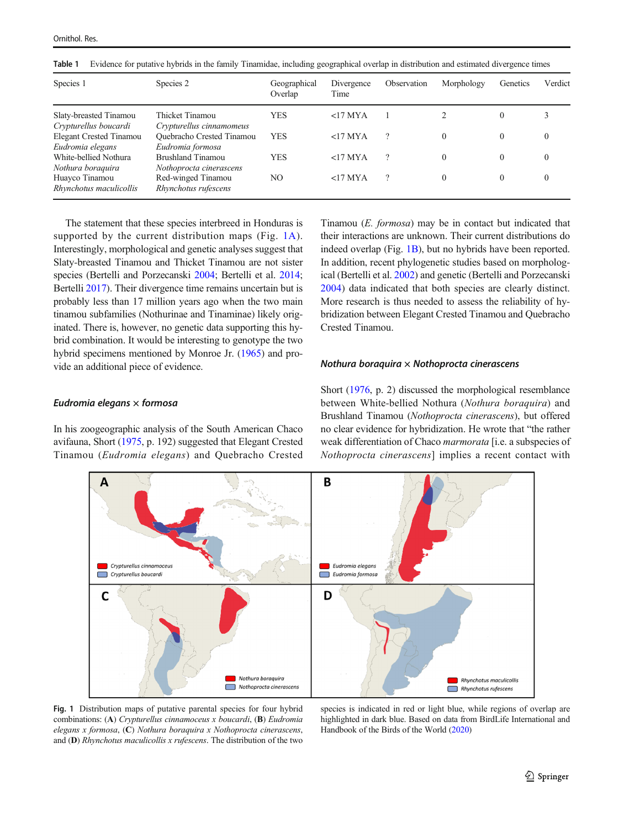| Species 1                      | Species 2                        | Geographical<br>Overlap | Divergence<br>Time | Observation | Morphology | Genetics     | Verdict |
|--------------------------------|----------------------------------|-------------------------|--------------------|-------------|------------|--------------|---------|
| Slaty-breasted Tinamou         | Thicket Tinamou                  | <b>YES</b>              | $<$ 17 MYA         |             |            | $\mathbf{0}$ |         |
| Crypturellus boucardi          | Crypturellus cinnamomeus         |                         |                    |             |            |              |         |
| <b>Elegant Crested Tinamou</b> | <b>Ouebracho Crested Tinamou</b> | <b>YES</b>              | $<$ 17 MYA         | $\gamma$    | $\theta$   | 0            | 0       |
| Eudromia elegans               | Eudromia formosa                 |                         |                    |             |            |              |         |
| White-bellied Nothura          | Brushland Tinamou                | <b>YES</b>              | $<$ 17 MYA         | $\gamma$    | $\theta$   | $\theta$     | 0       |
| Nothura boraquira              | Nothoprocta cinerascens          |                         |                    |             |            |              |         |
| Huayco Tinamou                 | Red-winged Tinamou               | NO                      | $<$ 17 MYA         | $\gamma$    | $\theta$   | 0            | 0       |
| Rhynchotus maculicollis        | Rhynchotus rufescens             |                         |                    |             |            |              |         |

<span id="page-2-0"></span>Table 1 Evidence for putative hybrids in the family Tinamidae, including geographical overlap in distribution and estimated divergence times

The statement that these species interbreed in Honduras is supported by the current distribution maps (Fig. 1A). Interestingly, morphological and genetic analyses suggest that Slaty-breasted Tinamou and Thicket Tinamou are not sister species (Bertelli and Porzecanski [2004](#page-3-0); Bertelli et al. [2014](#page-3-0); Bertelli [2017\)](#page-3-0). Their divergence time remains uncertain but is probably less than 17 million years ago when the two main tinamou subfamilies (Nothurinae and Tinaminae) likely originated. There is, however, no genetic data supporting this hybrid combination. It would be interesting to genotype the two hybrid specimens mentioned by Monroe Jr. ([1965](#page-4-0)) and provide an additional piece of evidence.

# Eudromia elegans  $\times$  formosa

In his zoogeographic analysis of the South American Chaco avifauna, Short ([1975](#page-4-0), p. 192) suggested that Elegant Crested Tinamou (Eudromia elegans) and Quebracho Crested

Tinamou (E. formosa) may be in contact but indicated that their interactions are unknown. Their current distributions do indeed overlap (Fig. 1B), but no hybrids have been reported. In addition, recent phylogenetic studies based on morphological (Bertelli et al. [2002\)](#page-3-0) and genetic (Bertelli and Porzecanski [2004](#page-3-0)) data indicated that both species are clearly distinct. More research is thus needed to assess the reliability of hybridization between Elegant Crested Tinamou and Quebracho Crested Tinamou.

## Nothura boraquira  $\times$  Nothoprocta cinerascens

Short ([1976](#page-4-0), p. 2) discussed the morphological resemblance between White-bellied Nothura (Nothura boraquira) and Brushland Tinamou (Nothoprocta cinerascens), but offered no clear evidence for hybridization. He wrote that "the rather weak differentiation of Chaco marmorata [i.e. a subspecies of Nothoprocta cinerascens] implies a recent contact with



Fig. 1 Distribution maps of putative parental species for four hybrid combinations: (A) Crypturellus cinnamoceus x boucardi, (B) Eudromia elegans x formosa, (C) Nothura boraquira x Nothoprocta cinerascens, and (D) Rhynchotus maculicollis x rufescens. The distribution of the two

species is indicated in red or light blue, while regions of overlap are highlighted in dark blue. Based on data from BirdLife International and Handbook of the Birds of the World [\(2020\)](#page-4-0)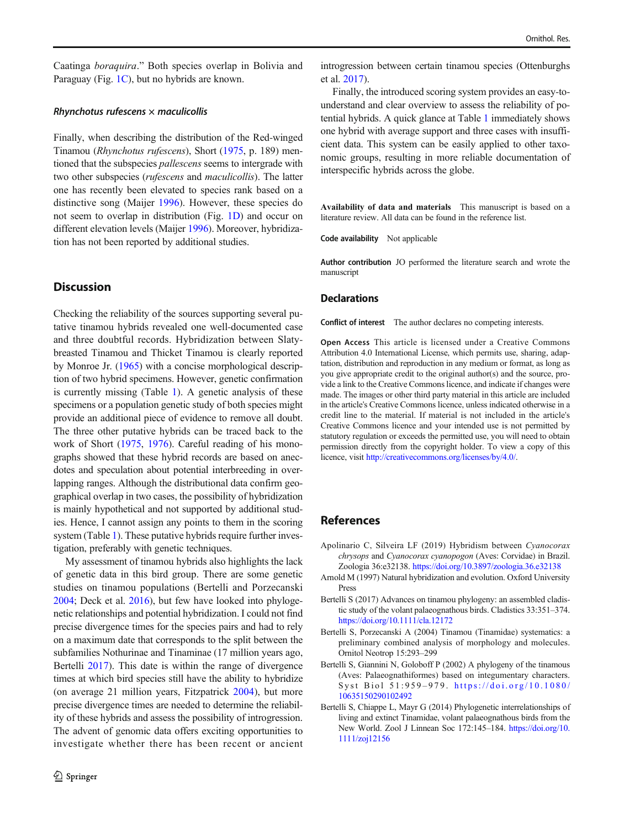<span id="page-3-0"></span>Caatinga boraquira." Both species overlap in Bolivia and Paraguay (Fig. [1C](#page-2-0)), but no hybrids are known.

#### Rhynchotus rufescens  $\times$  maculicollis

Finally, when describing the distribution of the Red-winged Tinamou (Rhynchotus rufescens), Short ([1975](#page-4-0), p. 189) mentioned that the subspecies *pallescens* seems to intergrade with two other subspecies (rufescens and maculicollis). The latter one has recently been elevated to species rank based on a distinctive song (Maijer [1996](#page-4-0)). However, these species do not seem to overlap in distribution (Fig. [1D](#page-2-0)) and occur on different elevation levels (Maijer [1996\)](#page-4-0). Moreover, hybridization has not been reported by additional studies.

# **Discussion**

Checking the reliability of the sources supporting several putative tinamou hybrids revealed one well-documented case and three doubtful records. Hybridization between Slatybreasted Tinamou and Thicket Tinamou is clearly reported by Monroe Jr. [\(1965\)](#page-4-0) with a concise morphological description of two hybrid specimens. However, genetic confirmation is currently missing (Table [1](#page-2-0)). A genetic analysis of these specimens or a population genetic study of both species might provide an additional piece of evidence to remove all doubt. The three other putative hybrids can be traced back to the work of Short [\(1975,](#page-4-0) [1976\)](#page-4-0). Careful reading of his monographs showed that these hybrid records are based on anecdotes and speculation about potential interbreeding in overlapping ranges. Although the distributional data confirm geographical overlap in two cases, the possibility of hybridization is mainly hypothetical and not supported by additional studies. Hence, I cannot assign any points to them in the scoring system (Table [1\)](#page-2-0). These putative hybrids require further investigation, preferably with genetic techniques.

My assessment of tinamou hybrids also highlights the lack of genetic data in this bird group. There are some genetic studies on tinamou populations (Bertelli and Porzecanski 2004; Deck et al. [2016\)](#page-4-0), but few have looked into phylogenetic relationships and potential hybridization. I could not find precise divergence times for the species pairs and had to rely on a maximum date that corresponds to the split between the subfamilies Nothurinae and Tinaminae (17 million years ago, Bertelli 2017). This date is within the range of divergence times at which bird species still have the ability to hybridize (on average 21 million years, Fitzpatrick [2004\)](#page-4-0), but more precise divergence times are needed to determine the reliability of these hybrids and assess the possibility of introgression. The advent of genomic data offers exciting opportunities to investigate whether there has been recent or ancient

introgression between certain tinamou species (Ottenburghs et al. [2017](#page-4-0)).

Finally, the introduced scoring system provides an easy-tounderstand and clear overview to assess the reliability of potential hybrids. A quick glance at Table [1](#page-2-0) immediately shows one hybrid with average support and three cases with insufficient data. This system can be easily applied to other taxonomic groups, resulting in more reliable documentation of interspecific hybrids across the globe.

Availability of data and materials This manuscript is based on a literature review. All data can be found in the reference list.

Code availability Not applicable

Author contribution JO performed the literature search and wrote the manuscript

## **Declarations**

Conflict of interest The author declares no competing interests.

Open Access This article is licensed under a Creative Commons Attribution 4.0 International License, which permits use, sharing, adaptation, distribution and reproduction in any medium or format, as long as you give appropriate credit to the original author(s) and the source, provide a link to the Creative Commons licence, and indicate if changes were made. The images or other third party material in this article are included in the article's Creative Commons licence, unless indicated otherwise in a credit line to the material. If material is not included in the article's Creative Commons licence and your intended use is not permitted by statutory regulation or exceeds the permitted use, you will need to obtain permission directly from the copyright holder. To view a copy of this licence, visit <http://creativecommons.org/licenses/by/4.0/>.

# References

- Apolinario C, Silveira LF (2019) Hybridism between Cyanocorax chrysops and Cyanocorax cyanopogon (Aves: Corvidae) in Brazil. Zoologia 36:e32138. <https://doi.org/10.3897/zoologia.36.e32138>
- Arnold M (1997) Natural hybridization and evolution. Oxford University Press
- Bertelli S (2017) Advances on tinamou phylogeny: an assembled cladistic study of the volant palaeognathous birds. Cladistics 33:351–374. <https://doi.org/10.1111/cla.12172>
- Bertelli S, Porzecanski A (2004) Tinamou (Tinamidae) systematics: a preliminary combined analysis of morphology and molecules. Ornitol Neotrop 15:293–299
- Bertelli S, Giannini N, Goloboff P (2002) A phylogeny of the tinamous (Aves: Palaeognathiformes) based on integumentary characters. Syst Biol 51:959-979. [https://doi.org/10.1080/](https://doi.org/10.1080/10635150290102492) [10635150290102492](https://doi.org/10.1080/10635150290102492)
- Bertelli S, Chiappe L, Mayr G (2014) Phylogenetic interrelationships of living and extinct Tinamidae, volant palaeognathous birds from the New World. Zool J Linnean Soc 172:145–184. [https://doi.org/10.](https://doi.org/10.1111/zoj12156) [1111/zoj12156](https://doi.org/10.1111/zoj12156)